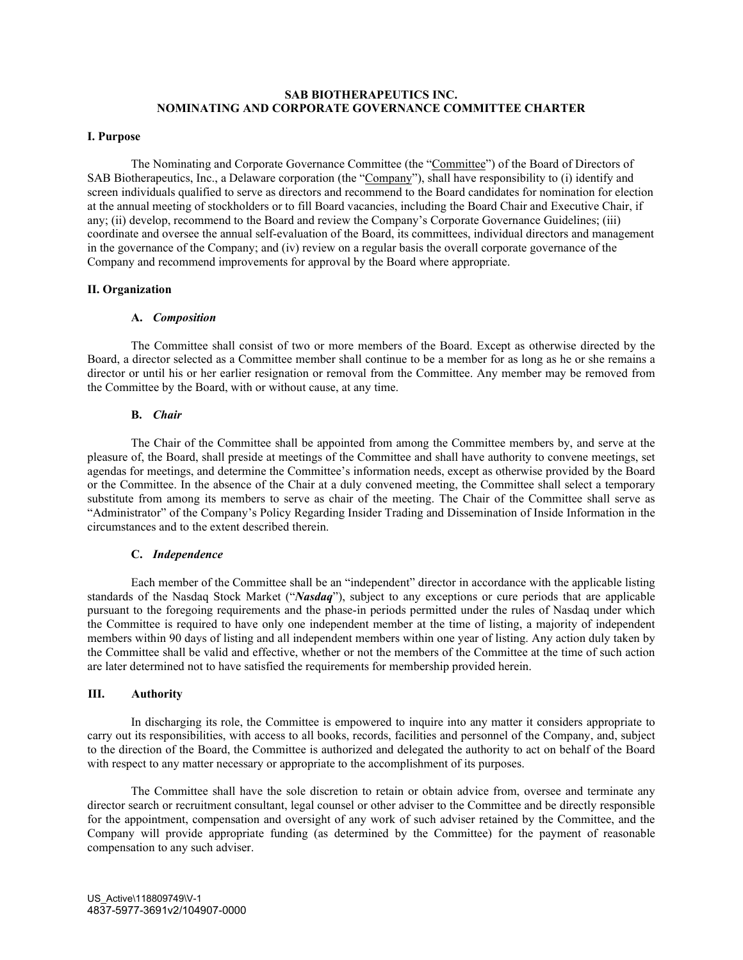# **SAB BIOTHERAPEUTICS INC. NOMINATING AND CORPORATE GOVERNANCE COMMITTEE CHARTER**

### **I. Purpose**

The Nominating and Corporate Governance Committee (the "Committee") of the Board of Directors of SAB Biotherapeutics, Inc., a Delaware corporation (the "Company"), shall have responsibility to (i) identify and screen individuals qualified to serve as directors and recommend to the Board candidates for nomination for election at the annual meeting of stockholders or to fill Board vacancies, including the Board Chair and Executive Chair, if any; (ii) develop, recommend to the Board and review the Company's Corporate Governance Guidelines; (iii) coordinate and oversee the annual self-evaluation of the Board, its committees, individual directors and management in the governance of the Company; and (iv) review on a regular basis the overall corporate governance of the Company and recommend improvements for approval by the Board where appropriate.

### **II. Organization**

### **A.** *Composition*

The Committee shall consist of two or more members of the Board. Except as otherwise directed by the Board, a director selected as a Committee member shall continue to be a member for as long as he or she remains a director or until his or her earlier resignation or removal from the Committee. Any member may be removed from the Committee by the Board, with or without cause, at any time.

## **B.** *Chair*

The Chair of the Committee shall be appointed from among the Committee members by, and serve at the pleasure of, the Board, shall preside at meetings of the Committee and shall have authority to convene meetings, set agendas for meetings, and determine the Committee's information needs, except as otherwise provided by the Board or the Committee. In the absence of the Chair at a duly convened meeting, the Committee shall select a temporary substitute from among its members to serve as chair of the meeting. The Chair of the Committee shall serve as "Administrator" of the Company's Policy Regarding Insider Trading and Dissemination of Inside Information in the circumstances and to the extent described therein.

#### **C.** *Independence*

Each member of the Committee shall be an "independent" director in accordance with the applicable listing standards of the Nasdaq Stock Market ("*Nasdaq*"), subject to any exceptions or cure periods that are applicable pursuant to the foregoing requirements and the phase-in periods permitted under the rules of Nasdaq under which the Committee is required to have only one independent member at the time of listing, a majority of independent members within 90 days of listing and all independent members within one year of listing. Any action duly taken by the Committee shall be valid and effective, whether or not the members of the Committee at the time of such action are later determined not to have satisfied the requirements for membership provided herein.

### **III. Authority**

In discharging its role, the Committee is empowered to inquire into any matter it considers appropriate to carry out its responsibilities, with access to all books, records, facilities and personnel of the Company, and, subject to the direction of the Board, the Committee is authorized and delegated the authority to act on behalf of the Board with respect to any matter necessary or appropriate to the accomplishment of its purposes.

The Committee shall have the sole discretion to retain or obtain advice from, oversee and terminate any director search or recruitment consultant, legal counsel or other adviser to the Committee and be directly responsible for the appointment, compensation and oversight of any work of such adviser retained by the Committee, and the Company will provide appropriate funding (as determined by the Committee) for the payment of reasonable compensation to any such adviser.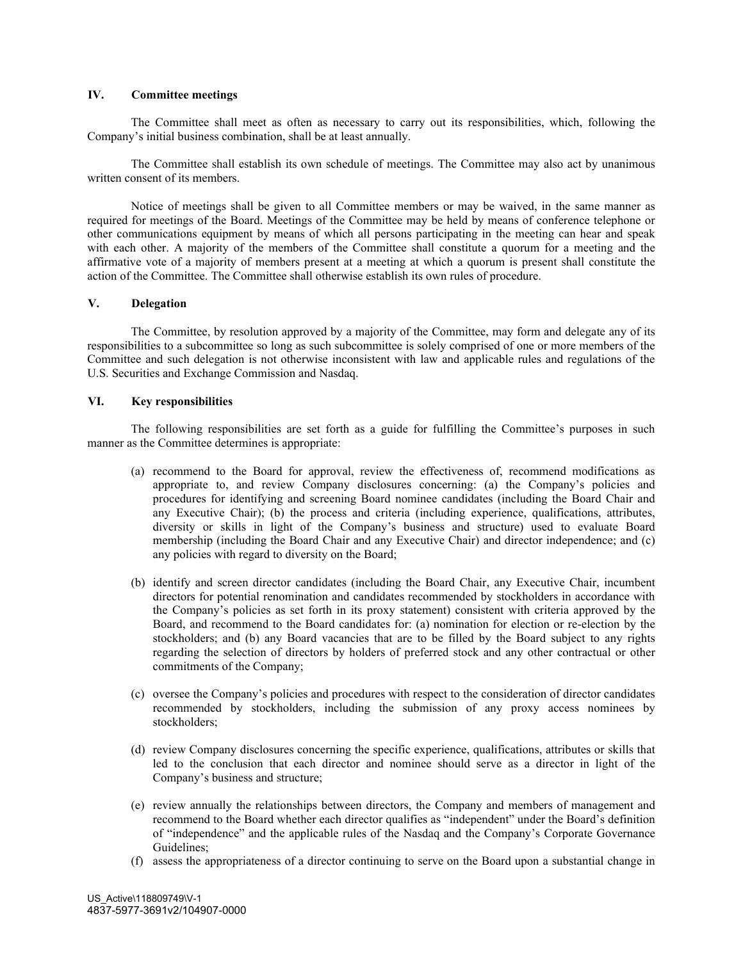## **IV. Committee meetings**

The Committee shall meet as often as necessary to carry out its responsibilities, which, following the Company's initial business combination, shall be at least annually.

The Committee shall establish its own schedule of meetings. The Committee may also act by unanimous written consent of its members.

Notice of meetings shall be given to all Committee members or may be waived, in the same manner as required for meetings of the Board. Meetings of the Committee may be held by means of conference telephone or other communications equipment by means of which all persons participating in the meeting can hear and speak with each other. A majority of the members of the Committee shall constitute a quorum for a meeting and the affirmative vote of a majority of members present at a meeting at which a quorum is present shall constitute the action of the Committee. The Committee shall otherwise establish its own rules of procedure.

## **V. Delegation**

The Committee, by resolution approved by a majority of the Committee, may form and delegate any of its responsibilities to a subcommittee so long as such subcommittee is solely comprised of one or more members of the Committee and such delegation is not otherwise inconsistent with law and applicable rules and regulations of the U.S. Securities and Exchange Commission and Nasdaq.

### **VI. Key responsibilities**

The following responsibilities are set forth as a guide for fulfilling the Committee's purposes in such manner as the Committee determines is appropriate:

- (a) recommend to the Board for approval, review the effectiveness of, recommend modifications as appropriate to, and review Company disclosures concerning: (a) the Company's policies and procedures for identifying and screening Board nominee candidates (including the Board Chair and any Executive Chair); (b) the process and criteria (including experience, qualifications, attributes, diversity or skills in light of the Company's business and structure) used to evaluate Board membership (including the Board Chair and any Executive Chair) and director independence; and (c) any policies with regard to diversity on the Board;
- (b) identify and screen director candidates (including the Board Chair, any Executive Chair, incumbent directors for potential renomination and candidates recommended by stockholders in accordance with the Company's policies as set forth in its proxy statement) consistent with criteria approved by the Board, and recommend to the Board candidates for: (a) nomination for election or re-election by the stockholders; and (b) any Board vacancies that are to be filled by the Board subject to any rights regarding the selection of directors by holders of preferred stock and any other contractual or other commitments of the Company;
- (c) oversee the Company's policies and procedures with respect to the consideration of director candidates recommended by stockholders, including the submission of any proxy access nominees by stockholders;
- (d) review Company disclosures concerning the specific experience, qualifications, attributes or skills that led to the conclusion that each director and nominee should serve as a director in light of the Company's business and structure;
- (e) review annually the relationships between directors, the Company and members of management and recommend to the Board whether each director qualifies as "independent" under the Board's definition of "independence" and the applicable rules of the Nasdaq and the Company's Corporate Governance Guidelines;
- (f) assess the appropriateness of a director continuing to serve on the Board upon a substantial change in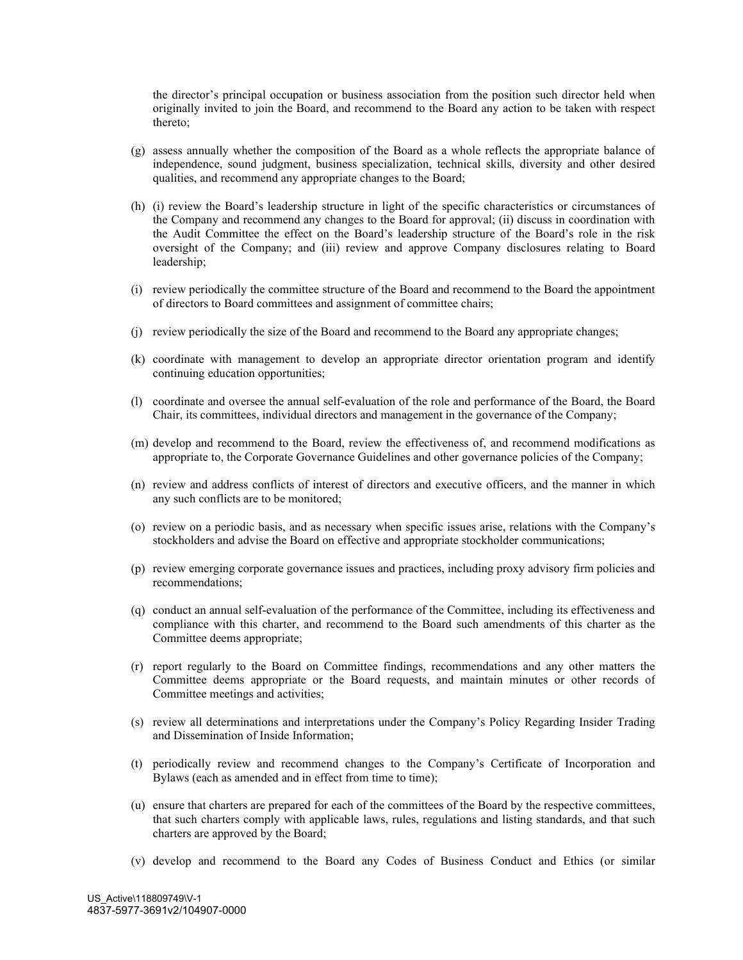the director's principal occupation or business association from the position such director held when originally invited to join the Board, and recommend to the Board any action to be taken with respect thereto;

- (g) assess annually whether the composition of the Board as a whole reflects the appropriate balance of independence, sound judgment, business specialization, technical skills, diversity and other desired qualities, and recommend any appropriate changes to the Board;
- (h) (i) review the Board's leadership structure in light of the specific characteristics or circumstances of the Company and recommend any changes to the Board for approval; (ii) discuss in coordination with the Audit Committee the effect on the Board's leadership structure of the Board's role in the risk oversight of the Company; and (iii) review and approve Company disclosures relating to Board leadership;
- (i) review periodically the committee structure of the Board and recommend to the Board the appointment of directors to Board committees and assignment of committee chairs;
- (j) review periodically the size of the Board and recommend to the Board any appropriate changes;
- (k) coordinate with management to develop an appropriate director orientation program and identify continuing education opportunities;
- (l) coordinate and oversee the annual self-evaluation of the role and performance of the Board, the Board Chair, its committees, individual directors and management in the governance of the Company;
- (m) develop and recommend to the Board, review the effectiveness of, and recommend modifications as appropriate to, the Corporate Governance Guidelines and other governance policies of the Company;
- (n) review and address conflicts of interest of directors and executive officers, and the manner in which any such conflicts are to be monitored;
- (o) review on a periodic basis, and as necessary when specific issues arise, relations with the Company's stockholders and advise the Board on effective and appropriate stockholder communications;
- (p) review emerging corporate governance issues and practices, including proxy advisory firm policies and recommendations;
- (q) conduct an annual self-evaluation of the performance of the Committee, including its effectiveness and compliance with this charter, and recommend to the Board such amendments of this charter as the Committee deems appropriate;
- (r) report regularly to the Board on Committee findings, recommendations and any other matters the Committee deems appropriate or the Board requests, and maintain minutes or other records of Committee meetings and activities;
- (s) review all determinations and interpretations under the Company's Policy Regarding Insider Trading and Dissemination of Inside Information;
- (t) periodically review and recommend changes to the Company's Certificate of Incorporation and Bylaws (each as amended and in effect from time to time);
- (u) ensure that charters are prepared for each of the committees of the Board by the respective committees, that such charters comply with applicable laws, rules, regulations and listing standards, and that such charters are approved by the Board;
- (v) develop and recommend to the Board any Codes of Business Conduct and Ethics (or similar